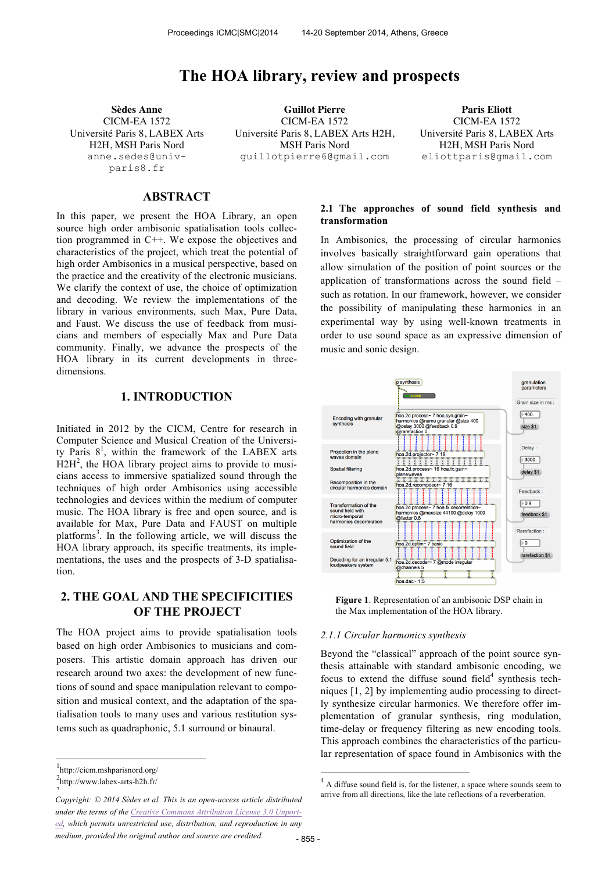# **The HOA library, review and prospects**

CICM-EA 1572 Université Paris 8, LABEX Arts H2H, MSH Paris Nord anne.sedes@univparis8.fr

**Sèdes Anne Guillot Pierre Paris Eliott** CICM-EA 1572 Université Paris 8, LABEX Arts H2H, MSH Paris Nord guillotpierre6@gmail.com

CICM-EA 1572 Université Paris 8, LABEX Arts H2H, MSH Paris Nord eliottparis@gmail.com

# **ABSTRACT**

In this paper, we present the HOA Library, an open source high order ambisonic spatialisation tools collection programmed in C++. We expose the objectives and characteristics of the project, which treat the potential of high order Ambisonics in a musical perspective, based on the practice and the creativity of the electronic musicians. We clarify the context of use, the choice of optimization and decoding. We review the implementations of the library in various environments, such Max, Pure Data, and Faust. We discuss the use of feedback from musicians and members of especially Max and Pure Data community. Finally, we advance the prospects of the HOA library in its current developments in threedimensions.

# **1. INTRODUCTION**

Initiated in 2012 by the CICM, Centre for research in Computer Science and Musical Creation of the University Paris  $8^1$ , within the framework of the LABEX arts  $H2H<sup>2</sup>$ , the HOA library project aims to provide to musicians access to immersive spatialized sound through the techniques of high order Ambisonics using accessible technologies and devices within the medium of computer music. The HOA library is free and open source, and is available for Max, Pure Data and FAUST on multiple platforms<sup>3</sup>. In the following article, we will discuss the HOA library approach, its specific treatments, its implementations, the uses and the prospects of 3-D spatialisation.

# **2. THE GOAL AND THE SPECIFICITIES OF THE PROJECT**

The HOA project aims to provide spatialisation tools based on high order Ambisonics to musicians and composers. This artistic domain approach has driven our research around two axes: the development of new functions of sound and space manipulation relevant to composition and musical context, and the adaptation of the spatialisation tools to many uses and various restitution systems such as quadraphonic, 5.1 surround or binaural.

 $\overline{a}$ 

### **2.1 The approaches of sound field synthesis and transformation**

In Ambisonics, the processing of circular harmonics involves basically straightforward gain operations that allow simulation of the position of point sources or the application of transformations across the sound field – such as rotation. In our framework, however, we consider the possibility of manipulating these harmonics in an experimental way by using well-known treatments in order to use sound space as an expressive dimension of music and sonic design.





#### *2.1.1 Circular harmonics synthesis*

Beyond the "classical" approach of the point source synthesis attainable with standard ambisonic encoding, we focus to extend the diffuse sound field $4$  synthesis techniques [1, 2] by implementing audio processing to directly synthesize circular harmonics. We therefore offer implementation of granular synthesis, ring modulation, time-delay or frequency filtering as new encoding tools. This approach combines the characteristics of the particular representation of space found in Ambisonics with the

<sup>1</sup> http://cicm.mshparisnord.org/

 ${}^{2}$ http://www.labex-arts-h2h.fr/  $\ddot{\phantom{0}}$ 

Copyright: © 2014 Sèdes et al. This is an open-access article distributed **arrive from all directions**, like the late reflections of a reverberation. *under the terms of the Creative Commons Attribution License 3.0 Unported, which permits unrestricted use, distribution, and reproduction in any medium, provided the original author and source are credited.*

 4 A diffuse sound field is, for the listener, a space where sounds seem to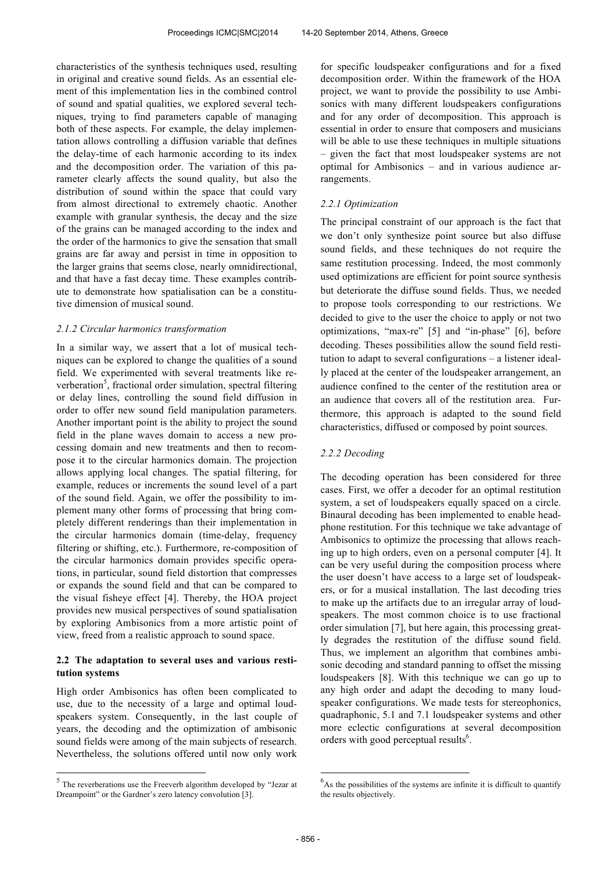characteristics of the synthesis techniques used, resulting in original and creative sound fields. As an essential element of this implementation lies in the combined control of sound and spatial qualities, we explored several techniques, trying to find parameters capable of managing both of these aspects. For example, the delay implementation allows controlling a diffusion variable that defines the delay-time of each harmonic according to its index and the decomposition order. The variation of this parameter clearly affects the sound quality, but also the distribution of sound within the space that could vary from almost directional to extremely chaotic. Another example with granular synthesis, the decay and the size of the grains can be managed according to the index and the order of the harmonics to give the sensation that small grains are far away and persist in time in opposition to the larger grains that seems close, nearly omnidirectional, and that have a fast decay time. These examples contribute to demonstrate how spatialisation can be a constitutive dimension of musical sound.

#### *2.1.2 Circular harmonics transformation*

In a similar way, we assert that a lot of musical techniques can be explored to change the qualities of a sound field. We experimented with several treatments like reverberation<sup>5</sup>, fractional order simulation, spectral filtering or delay lines, controlling the sound field diffusion in order to offer new sound field manipulation parameters. Another important point is the ability to project the sound field in the plane waves domain to access a new processing domain and new treatments and then to recompose it to the circular harmonics domain. The projection allows applying local changes. The spatial filtering, for example, reduces or increments the sound level of a part of the sound field. Again, we offer the possibility to implement many other forms of processing that bring completely different renderings than their implementation in the circular harmonics domain (time-delay, frequency filtering or shifting, etc.). Furthermore, re-composition of the circular harmonics domain provides specific operations, in particular, sound field distortion that compresses or expands the sound field and that can be compared to the visual fisheye effect [4]. Thereby, the HOA project provides new musical perspectives of sound spatialisation by exploring Ambisonics from a more artistic point of view, freed from a realistic approach to sound space.

### **2.2 The adaptation to several uses and various restitution systems**

High order Ambisonics has often been complicated to use, due to the necessity of a large and optimal loudspeakers system. Consequently, in the last couple of years, the decoding and the optimization of ambisonic sound fields were among of the main subjects of research. Nevertheless, the solutions offered until now only work

 $\overline{a}$ 

for specific loudspeaker configurations and for a fixed decomposition order. Within the framework of the HOA project, we want to provide the possibility to use Ambisonics with many different loudspeakers configurations and for any order of decomposition. This approach is essential in order to ensure that composers and musicians will be able to use these techniques in multiple situations – given the fact that most loudspeaker systems are not optimal for Ambisonics – and in various audience arrangements.

### *2.2.1 Optimization*

The principal constraint of our approach is the fact that we don't only synthesize point source but also diffuse sound fields, and these techniques do not require the same restitution processing. Indeed, the most commonly used optimizations are efficient for point source synthesis but deteriorate the diffuse sound fields. Thus, we needed to propose tools corresponding to our restrictions. We decided to give to the user the choice to apply or not two optimizations, "max-re" [5] and "in-phase" [6], before decoding. Theses possibilities allow the sound field restitution to adapt to several configurations – a listener ideally placed at the center of the loudspeaker arrangement, an audience confined to the center of the restitution area or an audience that covers all of the restitution area. Furthermore, this approach is adapted to the sound field characteristics, diffused or composed by point sources.

#### *2.2.2 Decoding*

The decoding operation has been considered for three cases. First, we offer a decoder for an optimal restitution system, a set of loudspeakers equally spaced on a circle. Binaural decoding has been implemented to enable headphone restitution. For this technique we take advantage of Ambisonics to optimize the processing that allows reaching up to high orders, even on a personal computer [4]. It can be very useful during the composition process where the user doesn't have access to a large set of loudspeakers, or for a musical installation. The last decoding tries to make up the artifacts due to an irregular array of loudspeakers. The most common choice is to use fractional order simulation [7], but here again, this processing greatly degrades the restitution of the diffuse sound field. Thus, we implement an algorithm that combines ambisonic decoding and standard panning to offset the missing loudspeakers [8]. With this technique we can go up to any high order and adapt the decoding to many loudspeaker configurations. We made tests for stereophonics, quadraphonic, 5.1 and 7.1 loudspeaker systems and other more eclectic configurations at several decomposition orders with good perceptual results<sup>6</sup>.

-

<sup>&</sup>lt;sup>5</sup> The reverberations use the Freeverb algorithm developed by "Jezar at Dreampoint" or the Gardner's zero latency convolution [3].

 $6<sup>6</sup>$ As the possibilities of the systems are infinite it is difficult to quantify the results objectively.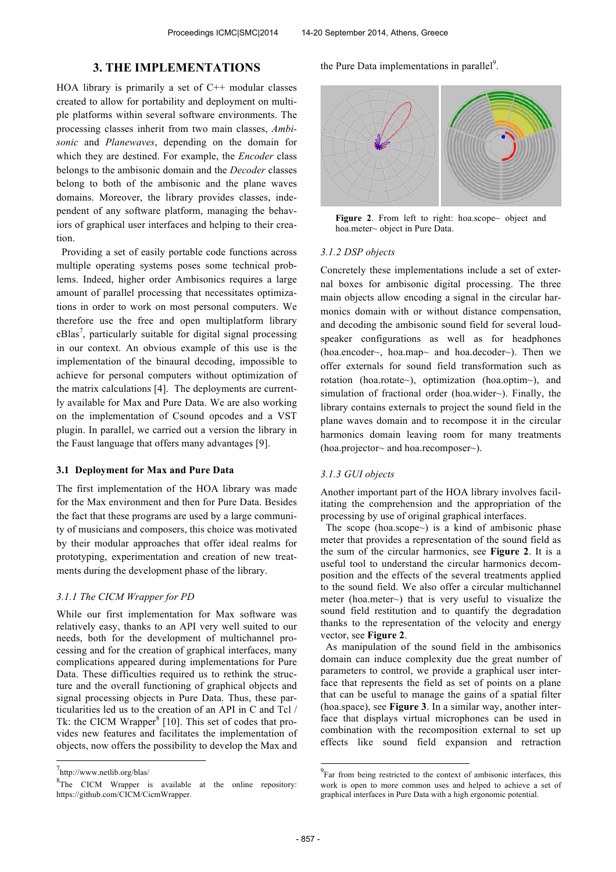## **3. THE IMPLEMENTATIONS**

HOA library is primarily a set of  $C++$  modular classes created to allow for portability and deployment on multiple platforms within several software environments. The processing classes inherit from two main classes, *Ambisonic* and *Planewaves*, depending on the domain for which they are destined. For example, the *Encoder* class belongs to the ambisonic domain and the *Decoder* classes belong to both of the ambisonic and the plane waves domains. Moreover, the library provides classes, independent of any software platform, managing the behaviors of graphical user interfaces and helping to their creation.

 Providing a set of easily portable code functions across multiple operating systems poses some technical problems. Indeed, higher order Ambisonics requires a large amount of parallel processing that necessitates optimizations in order to work on most personal computers. We therefore use the free and open multiplatform library  $cB$ las<sup>7</sup>, particularly suitable for digital signal processing in our context. An obvious example of this use is the implementation of the binaural decoding, impossible to achieve for personal computers without optimization of the matrix calculations [4]. The deployments are currently available for Max and Pure Data. We are also working on the implementation of Csound opcodes and a VST plugin. In parallel, we carried out a version the library in the Faust language that offers many advantages [9].

### **3.1 Deployment for Max and Pure Data**

The first implementation of the HOA library was made for the Max environment and then for Pure Data. Besides the fact that these programs are used by a large community of musicians and composers, this choice was motivated by their modular approaches that offer ideal realms for prototyping, experimentation and creation of new treatments during the development phase of the library.

## *3.1.1 The CICM Wrapper for PD*

While our first implementation for Max software was relatively easy, thanks to an API very well suited to our needs, both for the development of multichannel processing and for the creation of graphical interfaces, many complications appeared during implementations for Pure Data. These difficulties required us to rethink the structure and the overall functioning of graphical objects and signal processing objects in Pure Data. Thus, these particularities led us to the creation of an API in C and Tcl / Tk: the CICM Wrapper $^{8}$  [10]. This set of codes that provides new features and facilitates the implementation of objects, now offers the possibility to develop the Max and

 $\overline{a}$ 

the Pure Data implementations in parallel<sup>9</sup>.



Figure 2. From left to right: hoa.scope~ object and hoa.meter~ object in Pure Data.

#### *3.1.2 DSP objects*

Concretely these implementations include a set of external boxes for ambisonic digital processing. The three main objects allow encoding a signal in the circular harmonics domain with or without distance compensation, and decoding the ambisonic sound field for several loudspeaker configurations as well as for headphones (hoa.encoder~, hoa.map~ and hoa.decoder~). Then we offer externals for sound field transformation such as rotation (hoa.rotate~), optimization (hoa.optim~), and simulation of fractional order (hoa.wider~). Finally, the library contains externals to project the sound field in the plane waves domain and to recompose it in the circular harmonics domain leaving room for many treatments (hoa.projector~ and hoa.recomposer~).

#### *3.1.3 GUI objects*

Another important part of the HOA library involves facilitating the comprehension and the appropriation of the processing by use of original graphical interfaces.

 The scope (hoa.scope~) is a kind of ambisonic phase meter that provides a representation of the sound field as the sum of the circular harmonics, see **Figure 2**. It is a useful tool to understand the circular harmonics decomposition and the effects of the several treatments applied to the sound field. We also offer a circular multichannel meter (hoa.meter~) that is very useful to visualize the sound field restitution and to quantify the degradation thanks to the representation of the velocity and energy vector, see **Figure 2**.

 As manipulation of the sound field in the ambisonics domain can induce complexity due the great number of parameters to control, we provide a graphical user interface that represents the field as set of points on a plane that can be useful to manage the gains of a spatial filter (hoa.space), see **Figure 3**. In a similar way, another interface that displays virtual microphones can be used in combination with the recomposition external to set up effects like sound field expansion and retraction

j

<sup>7</sup> http://www.netlib.org/blas/

 ${}^{8}$ The CICM Wrapper is available at the online repository: https://github.com/CICM/CicmWrapper.

<sup>&</sup>lt;sup>9</sup>Far from being restricted to the context of ambisonic interfaces, this work is open to more common uses and helped to achieve a set of graphical interfaces in Pure Data with a high ergonomic potential.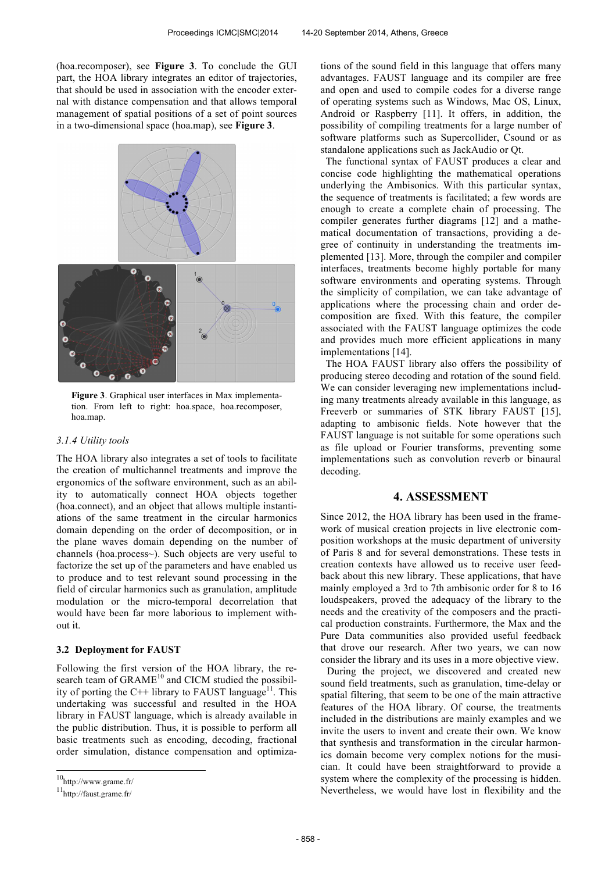(hoa.recomposer), see **Figure 3**. To conclude the GUI part, the HOA library integrates an editor of trajectories, that should be used in association with the encoder external with distance compensation and that allows temporal management of spatial positions of a set of point sources in a two-dimensional space (hoa.map), see **Figure 3**.



**Figure 3**. Graphical user interfaces in Max implementation. From left to right: hoa.space, hoa.recomposer, hoa.map.

#### *3.1.4 Utility tools*

The HOA library also integrates a set of tools to facilitate the creation of multichannel treatments and improve the ergonomics of the software environment, such as an ability to automatically connect HOA objects together (hoa.connect), and an object that allows multiple instantiations of the same treatment in the circular harmonics domain depending on the order of decomposition, or in the plane waves domain depending on the number of channels (hoa.process~). Such objects are very useful to factorize the set up of the parameters and have enabled us to produce and to test relevant sound processing in the field of circular harmonics such as granulation, amplitude modulation or the micro-temporal decorrelation that would have been far more laborious to implement without it.

#### **3.2 Deployment for FAUST**

Following the first version of the HOA library, the research team of  $GRAME<sup>10</sup>$  and CICM studied the possibility of porting the C++ library to FAUST language<sup>11</sup>. This undertaking was successful and resulted in the HOA library in FAUST language, which is already available in the public distribution. Thus, it is possible to perform all basic treatments such as encoding, decoding, fractional order simulation, distance compensation and optimiza-

 $\overline{a}$ 

tions of the sound field in this language that offers many advantages. FAUST language and its compiler are free and open and used to compile codes for a diverse range of operating systems such as Windows, Mac OS, Linux, Android or Raspberry [11]. It offers, in addition, the possibility of compiling treatments for a large number of software platforms such as Supercollider, Csound or as standalone applications such as JackAudio or Qt.

 The functional syntax of FAUST produces a clear and concise code highlighting the mathematical operations underlying the Ambisonics. With this particular syntax, the sequence of treatments is facilitated; a few words are enough to create a complete chain of processing. The compiler generates further diagrams [12] and a mathematical documentation of transactions, providing a degree of continuity in understanding the treatments implemented [13]. More, through the compiler and compiler interfaces, treatments become highly portable for many software environments and operating systems. Through the simplicity of compilation, we can take advantage of applications where the processing chain and order decomposition are fixed. With this feature, the compiler associated with the FAUST language optimizes the code and provides much more efficient applications in many implementations [14].

 The HOA FAUST library also offers the possibility of producing stereo decoding and rotation of the sound field. We can consider leveraging new implementations including many treatments already available in this language, as Freeverb or summaries of STK library FAUST [15], adapting to ambisonic fields. Note however that the FAUST language is not suitable for some operations such as file upload or Fourier transforms, preventing some implementations such as convolution reverb or binaural decoding.

### **4. ASSESSMENT**

Since 2012, the HOA library has been used in the framework of musical creation projects in live electronic composition workshops at the music department of university of Paris 8 and for several demonstrations. These tests in creation contexts have allowed us to receive user feedback about this new library. These applications, that have mainly employed a 3rd to 7th ambisonic order for 8 to 16 loudspeakers, proved the adequacy of the library to the needs and the creativity of the composers and the practical production constraints. Furthermore, the Max and the Pure Data communities also provided useful feedback that drove our research. After two years, we can now consider the library and its uses in a more objective view.

 During the project, we discovered and created new sound field treatments, such as granulation, time-delay or spatial filtering, that seem to be one of the main attractive features of the HOA library. Of course, the treatments included in the distributions are mainly examples and we invite the users to invent and create their own. We know that synthesis and transformation in the circular harmonics domain become very complex notions for the musician. It could have been straightforward to provide a system where the complexity of the processing is hidden. Nevertheless, we would have lost in flexibility and the

<sup>10</sup>http://www.grame.fr/

<sup>11</sup>http://faust.grame.fr/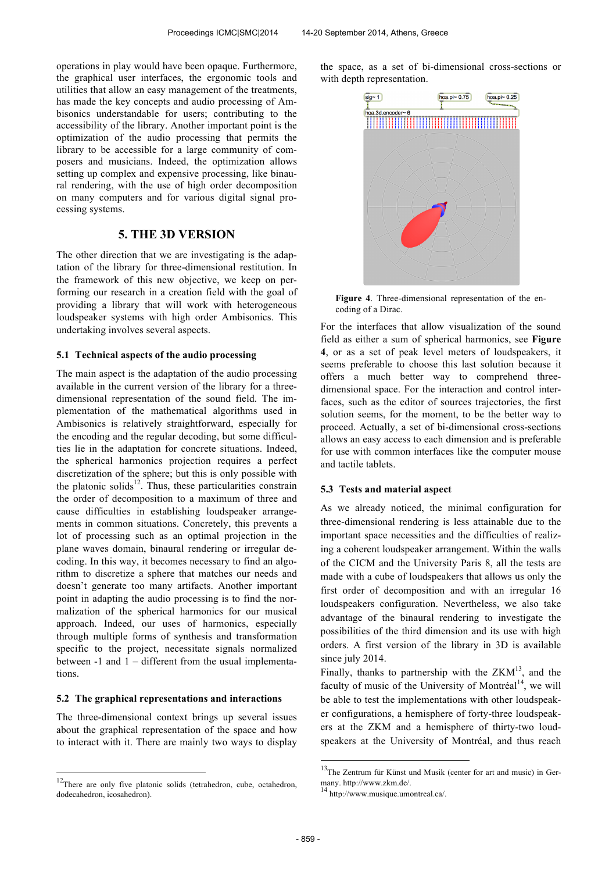operations in play would have been opaque. Furthermore, the graphical user interfaces, the ergonomic tools and utilities that allow an easy management of the treatments, has made the key concepts and audio processing of Ambisonics understandable for users; contributing to the accessibility of the library. Another important point is the optimization of the audio processing that permits the library to be accessible for a large community of composers and musicians. Indeed, the optimization allows setting up complex and expensive processing, like binaural rendering, with the use of high order decomposition on many computers and for various digital signal processing systems.

# **5. THE 3D VERSION**

The other direction that we are investigating is the adaptation of the library for three-dimensional restitution. In the framework of this new objective, we keep on performing our research in a creation field with the goal of providing a library that will work with heterogeneous loudspeaker systems with high order Ambisonics. This undertaking involves several aspects.

#### **5.1 Technical aspects of the audio processing**

The main aspect is the adaptation of the audio processing available in the current version of the library for a threedimensional representation of the sound field. The implementation of the mathematical algorithms used in Ambisonics is relatively straightforward, especially for the encoding and the regular decoding, but some difficulties lie in the adaptation for concrete situations. Indeed, the spherical harmonics projection requires a perfect discretization of the sphere; but this is only possible with the platonic solids $^{12}$ . Thus, these particularities constrain the order of decomposition to a maximum of three and cause difficulties in establishing loudspeaker arrangements in common situations. Concretely, this prevents a lot of processing such as an optimal projection in the plane waves domain, binaural rendering or irregular decoding. In this way, it becomes necessary to find an algorithm to discretize a sphere that matches our needs and doesn't generate too many artifacts. Another important point in adapting the audio processing is to find the normalization of the spherical harmonics for our musical approach. Indeed, our uses of harmonics, especially through multiple forms of synthesis and transformation specific to the project, necessitate signals normalized between -1 and 1 – different from the usual implementations.

### **5.2 The graphical representations and interactions**

The three-dimensional context brings up several issues about the graphical representation of the space and how to interact with it. There are mainly two ways to display

 $\overline{a}$ 

the space, as a set of bi-dimensional cross-sections or with depth representation.



**Figure 4**. Three-dimensional representation of the encoding of a Dirac.

For the interfaces that allow visualization of the sound field as either a sum of spherical harmonics, see **Figure 4**, or as a set of peak level meters of loudspeakers, it seems preferable to choose this last solution because it offers a much better way to comprehend threedimensional space. For the interaction and control interfaces, such as the editor of sources trajectories, the first solution seems, for the moment, to be the better way to proceed. Actually, a set of bi-dimensional cross-sections allows an easy access to each dimension and is preferable for use with common interfaces like the computer mouse and tactile tablets.

#### **5.3 Tests and material aspect**

As we already noticed, the minimal configuration for three-dimensional rendering is less attainable due to the important space necessities and the difficulties of realizing a coherent loudspeaker arrangement. Within the walls of the CICM and the University Paris 8, all the tests are made with a cube of loudspeakers that allows us only the first order of decomposition and with an irregular 16 loudspeakers configuration. Nevertheless, we also take advantage of the binaural rendering to investigate the possibilities of the third dimension and its use with high orders. A first version of the library in 3D is available since july 2014.

Finally, thanks to partnership with the  $ZKM^{13}$ , and the faculty of music of the University of Montréal<sup>14</sup>, we will be able to test the implementations with other loudspeaker configurations, a hemisphere of forty-three loudspeakers at the ZKM and a hemisphere of thirty-two loudspeakers at the University of Montréal, and thus reach

j

 $12$ There are only five platonic solids (tetrahedron, cube, octahedron, dodecahedron, icosahedron).

 $13$ The Zentrum für Künst und Musik (center for art and music) in Germany. http://www.zkm.de/.<br><sup>14</sup> http://www.musique.umontreal.ca/.